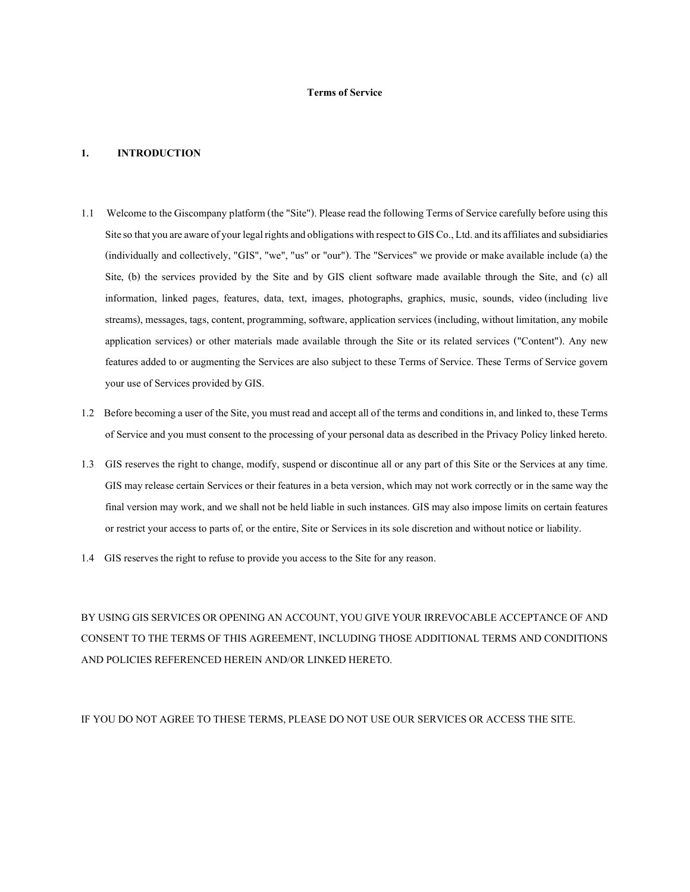### Terms of Service

### 1. INTRODUCTION

- 1.1 Welcome to the Giscompany platform (the "Site"). Please read the following Terms of Service carefully before using this Site so that you are aware of your legal rights and obligations with respect to GIS Co., Ltd. and its affiliates and subsidiaries (individually and collectively, "GIS", "we", "us" or "our"). The "Services" we provide or make available include (a) the Site, (b) the services provided by the Site and by GIS client software made available through the Site, and (c) all information, linked pages, features, data, text, images, photographs, graphics, music, sounds, video (including live streams), messages, tags, content, programming, software, application services (including, without limitation, any mobile application services) or other materials made available through the Site or its related services ("Content"). Any new features added to or augmenting the Services are also subject to these Terms of Service. These Terms of Service govern your use of Services provided by GIS.
- 1.2 Before becoming a user of the Site, you must read and accept all of the terms and conditions in, and linked to, these Terms of Service and you must consent to the processing of your personal data as described in the Privacy Policy linked hereto.
- 1.3 GIS reserves the right to change, modify, suspend or discontinue all or any part of this Site or the Services at any time. GIS may release certain Services or their features in a beta version, which may not work correctly or in the same way the final version may work, and we shall not be held liable in such instances. GIS may also impose limits on certain features or restrict your access to parts of, or the entire, Site or Services in its sole discretion and without notice or liability.
- 1.4 GIS reserves the right to refuse to provide you access to the Site for any reason.

BY USING GIS SERVICES OR OPENING AN ACCOUNT, YOU GIVE YOUR IRREVOCABLE ACCEPTANCE OF AND CONSENT TO THE TERMS OF THIS AGREEMENT, INCLUDING THOSE ADDITIONAL TERMS AND CONDITIONS AND POLICIES REFERENCED HEREIN AND/OR LINKED HERETO.

IF YOU DO NOT AGREE TO THESE TERMS, PLEASE DO NOT USE OUR SERVICES OR ACCESS THE SITE.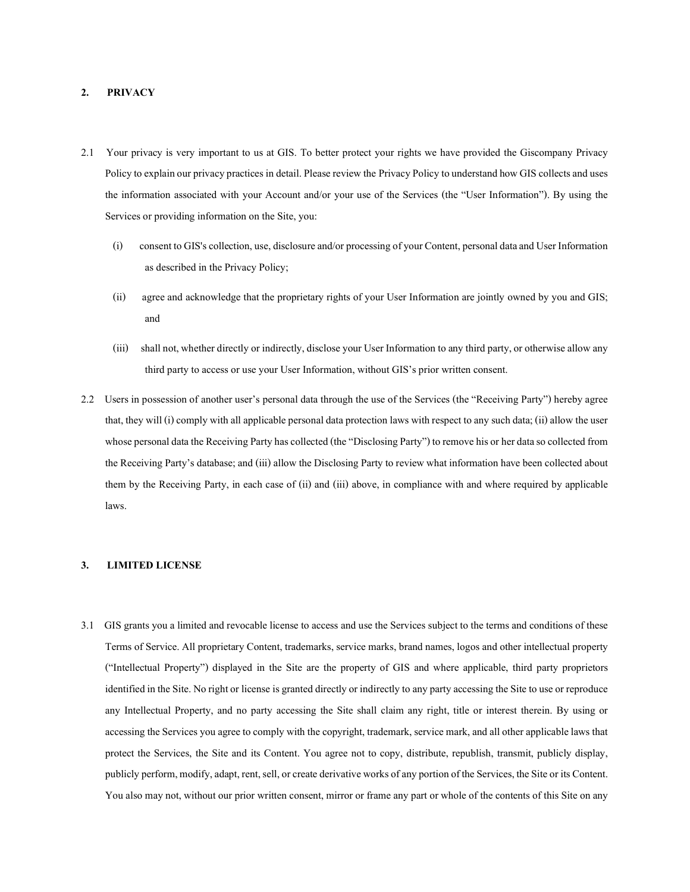## 2. PRIVACY

- 2.1 Your privacy is very important to us at GIS. To better protect your rights we have provided the Giscompany Privacy Policy to explain our privacy practices in detail. Please review the Privacy Policy to understand how GIS collects and uses the information associated with your Account and/or your use of the Services (the "User Information"). By using the Services or providing information on the Site, you:
	- (i) consent to GIS's collection, use, disclosure and/or processing of your Content, personal data and User Information as described in the Privacy Policy;
	- (ii) agree and acknowledge that the proprietary rights of your User Information are jointly owned by you and GIS; and
	- (iii) shall not, whether directly or indirectly, disclose your User Information to any third party, or otherwise allow any third party to access or use your User Information, without GIS's prior written consent.
- 2.2 Users in possession of another user's personal data through the use of the Services (the "Receiving Party") hereby agree that, they will (i) comply with all applicable personal data protection laws with respect to any such data; (ii) allow the user whose personal data the Receiving Party has collected (the "Disclosing Party") to remove his or her data so collected from the Receiving Party's database; and (iii) allow the Disclosing Party to review what information have been collected about them by the Receiving Party, in each case of (ii) and (iii) above, in compliance with and where required by applicable laws.

## 3. LIMITED LICENSE

3.1 GIS grants you a limited and revocable license to access and use the Services subject to the terms and conditions of these Terms of Service. All proprietary Content, trademarks, service marks, brand names, logos and other intellectual property ("Intellectual Property") displayed in the Site are the property of GIS and where applicable, third party proprietors identified in the Site. No right or license is granted directly or indirectly to any party accessing the Site to use or reproduce any Intellectual Property, and no party accessing the Site shall claim any right, title or interest therein. By using or accessing the Services you agree to comply with the copyright, trademark, service mark, and all other applicable laws that protect the Services, the Site and its Content. You agree not to copy, distribute, republish, transmit, publicly display, publicly perform, modify, adapt, rent, sell, or create derivative works of any portion of the Services, the Site or its Content. You also may not, without our prior written consent, mirror or frame any part or whole of the contents of this Site on any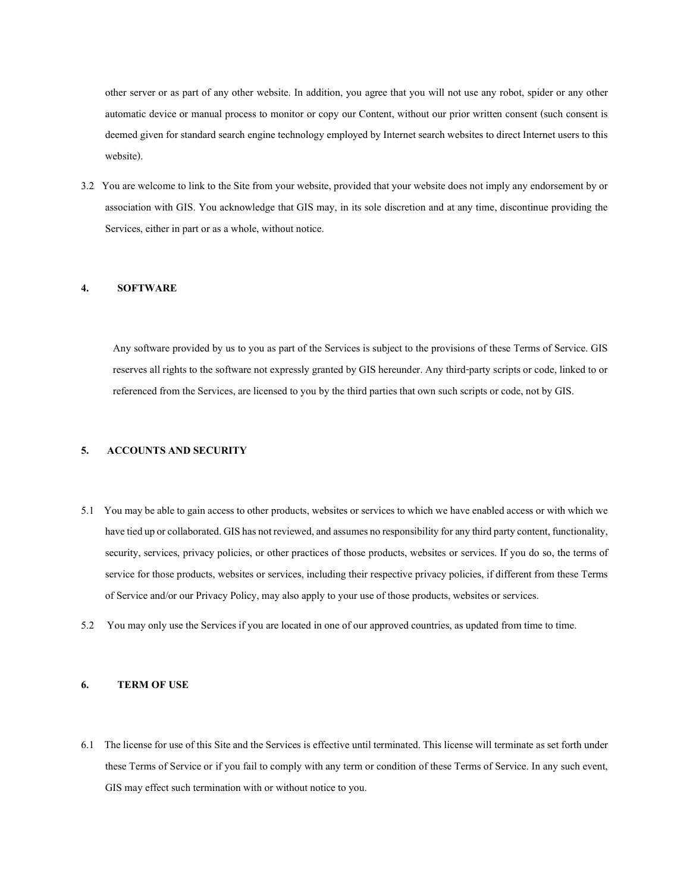other server or as part of any other website. In addition, you agree that you will not use any robot, spider or any other automatic device or manual process to monitor or copy our Content, without our prior written consent (such consent is deemed given for standard search engine technology employed by Internet search websites to direct Internet users to this website).

3.2 You are welcome to link to the Site from your website, provided that your website does not imply any endorsement by or association with GIS. You acknowledge that GIS may, in its sole discretion and at any time, discontinue providing the Services, either in part or as a whole, without notice.

### 4. SOFTWARE

Any software provided by us to you as part of the Services is subject to the provisions of these Terms of Service. GIS reserves all rights to the software not expressly granted by GIS hereunder. Any third-party scripts or code, linked to or referenced from the Services, are licensed to you by the third parties that own such scripts or code, not by GIS.

### 5. ACCOUNTS AND SECURITY

- 5.1 You may be able to gain access to other products, websites or services to which we have enabled access or with which we have tied up or collaborated. GIS has not reviewed, and assumes no responsibility for any third party content, functionality, security, services, privacy policies, or other practices of those products, websites or services. If you do so, the terms of service for those products, websites or services, including their respective privacy policies, if different from these Terms of Service and/or our Privacy Policy, may also apply to your use of those products, websites or services.
- 5.2 You may only use the Services if you are located in one of our approved countries, as updated from time to time.

## 6. TERM OF USE

6.1 The license for use of this Site and the Services is effective until terminated. This license will terminate as set forth under these Terms of Service or if you fail to comply with any term or condition of these Terms of Service. In any such event, GIS may effect such termination with or without notice to you.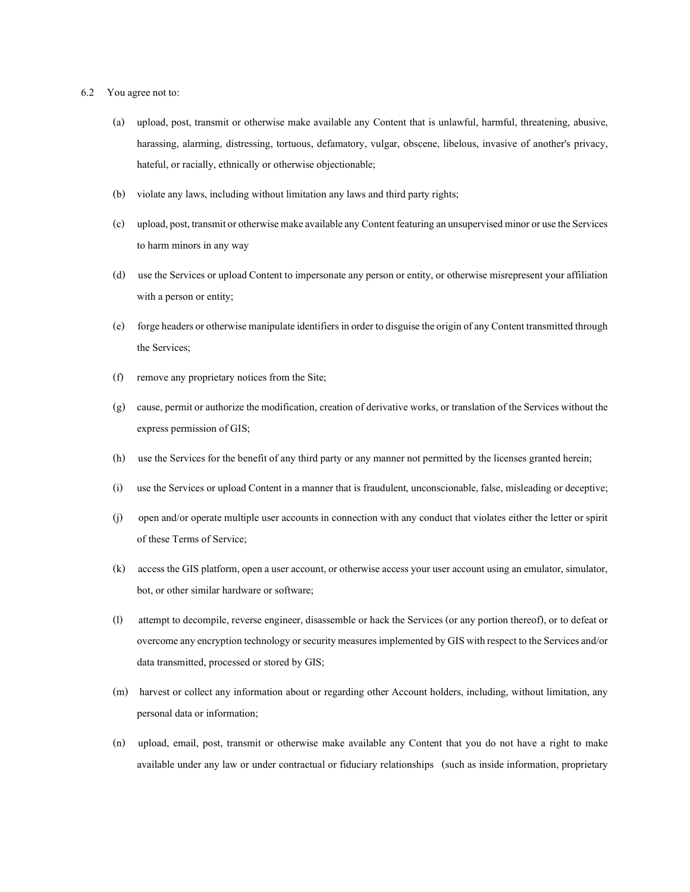- 6.2 You agree not to:
	- (a) upload, post, transmit or otherwise make available any Content that is unlawful, harmful, threatening, abusive, harassing, alarming, distressing, tortuous, defamatory, vulgar, obscene, libelous, invasive of another's privacy, hateful, or racially, ethnically or otherwise objectionable;
	- (b) violate any laws, including without limitation any laws and third party rights;
	- (c) upload, post, transmit or otherwise make available any Content featuring an unsupervised minor or use the Services to harm minors in any way
	- (d) use the Services or upload Content to impersonate any person or entity, or otherwise misrepresent your affiliation with a person or entity;
	- (e) forge headers or otherwise manipulate identifiers in order to disguise the origin of any Content transmitted through the Services;
	- (f) remove any proprietary notices from the Site;
	- (g) cause, permit or authorize the modification, creation of derivative works, or translation of the Services without the express permission of GIS;
	- (h) use the Services for the benefit of any third party or any manner not permitted by the licenses granted herein;
	- (i) use the Services or upload Content in a manner that is fraudulent, unconscionable, false, misleading or deceptive;
	- (j) open and/or operate multiple user accounts in connection with any conduct that violates either the letter or spirit of these Terms of Service;
	- (k) access the GIS platform, open a user account, or otherwise access your user account using an emulator, simulator, bot, or other similar hardware or software;
	- (l) attempt to decompile, reverse engineer, disassemble or hack the Services (or any portion thereof), or to defeat or overcome any encryption technology or security measures implemented by GIS with respect to the Services and/or data transmitted, processed or stored by GIS;
	- (m) harvest or collect any information about or regarding other Account holders, including, without limitation, any personal data or information;
	- (n) upload, email, post, transmit or otherwise make available any Content that you do not have a right to make available under any law or under contractual or fiduciary relationships (such as inside information, proprietary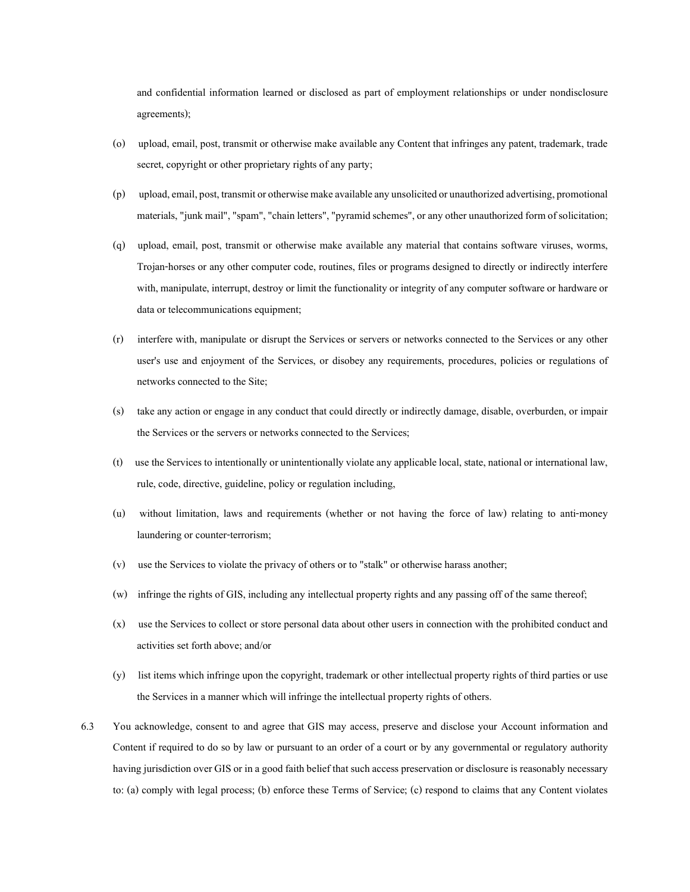and confidential information learned or disclosed as part of employment relationships or under nondisclosure agreements);

- (o) upload, email, post, transmit or otherwise make available any Content that infringes any patent, trademark, trade secret, copyright or other proprietary rights of any party;
- (p) upload, email, post, transmit or otherwise make available any unsolicited or unauthorized advertising, promotional materials, "junk mail", "spam", "chain letters", "pyramid schemes", or any other unauthorized form of solicitation;
- (q) upload, email, post, transmit or otherwise make available any material that contains software viruses, worms, Trojan-horses or any other computer code, routines, files or programs designed to directly or indirectly interfere with, manipulate, interrupt, destroy or limit the functionality or integrity of any computer software or hardware or data or telecommunications equipment;
- (r) interfere with, manipulate or disrupt the Services or servers or networks connected to the Services or any other user's use and enjoyment of the Services, or disobey any requirements, procedures, policies or regulations of networks connected to the Site;
- (s) take any action or engage in any conduct that could directly or indirectly damage, disable, overburden, or impair the Services or the servers or networks connected to the Services;
- (t) use the Services to intentionally or unintentionally violate any applicable local, state, national or international law, rule, code, directive, guideline, policy or regulation including,
- (u) without limitation, laws and requirements (whether or not having the force of law) relating to anti-money laundering or counter-terrorism;
- (v) use the Services to violate the privacy of others or to "stalk" or otherwise harass another;
- (w) infringe the rights of GIS, including any intellectual property rights and any passing off of the same thereof;
- (x) use the Services to collect or store personal data about other users in connection with the prohibited conduct and activities set forth above; and/or
- (y) list items which infringe upon the copyright, trademark or other intellectual property rights of third parties or use the Services in a manner which will infringe the intellectual property rights of others.
- 6.3 You acknowledge, consent to and agree that GIS may access, preserve and disclose your Account information and Content if required to do so by law or pursuant to an order of a court or by any governmental or regulatory authority having jurisdiction over GIS or in a good faith belief that such access preservation or disclosure is reasonably necessary to: (a) comply with legal process; (b) enforce these Terms of Service; (c) respond to claims that any Content violates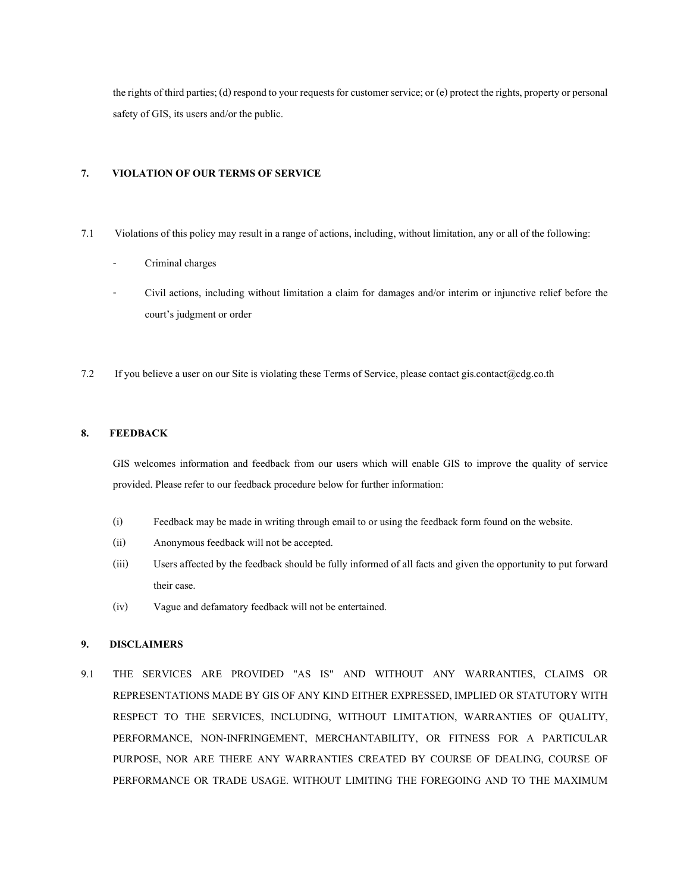the rights of third parties; (d) respond to your requests for customer service; or (e) protect the rights, property or personal safety of GIS, its users and/or the public.

# 7. VIOLATION OF OUR TERMS OF SERVICE

- 7.1 Violations of this policy may result in a range of actions, including, without limitation, any or all of the following:
	- Criminal charges
	- Civil actions, including without limitation a claim for damages and/or interim or injunctive relief before the court's judgment or order
- 7.2 If you believe a user on our Site is violating these Terms of Service, please contact gis.contact@cdg.co.th

# 8. FEEDBACK

GIS welcomes information and feedback from our users which will enable GIS to improve the quality of service provided. Please refer to our feedback procedure below for further information:

- (i) Feedback may be made in writing through email to or using the feedback form found on the website.
- (ii) Anonymous feedback will not be accepted.
- (iii) Users affected by the feedback should be fully informed of all facts and given the opportunity to put forward their case.
- (iv) Vague and defamatory feedback will not be entertained.

# 9. DISCLAIMERS

9.1 THE SERVICES ARE PROVIDED "AS IS" AND WITHOUT ANY WARRANTIES, CLAIMS OR REPRESENTATIONS MADE BY GIS OF ANY KIND EITHER EXPRESSED, IMPLIED OR STATUTORY WITH RESPECT TO THE SERVICES, INCLUDING, WITHOUT LIMITATION, WARRANTIES OF QUALITY, PERFORMANCE, NON-INFRINGEMENT, MERCHANTABILITY, OR FITNESS FOR A PARTICULAR PURPOSE, NOR ARE THERE ANY WARRANTIES CREATED BY COURSE OF DEALING, COURSE OF PERFORMANCE OR TRADE USAGE. WITHOUT LIMITING THE FOREGOING AND TO THE MAXIMUM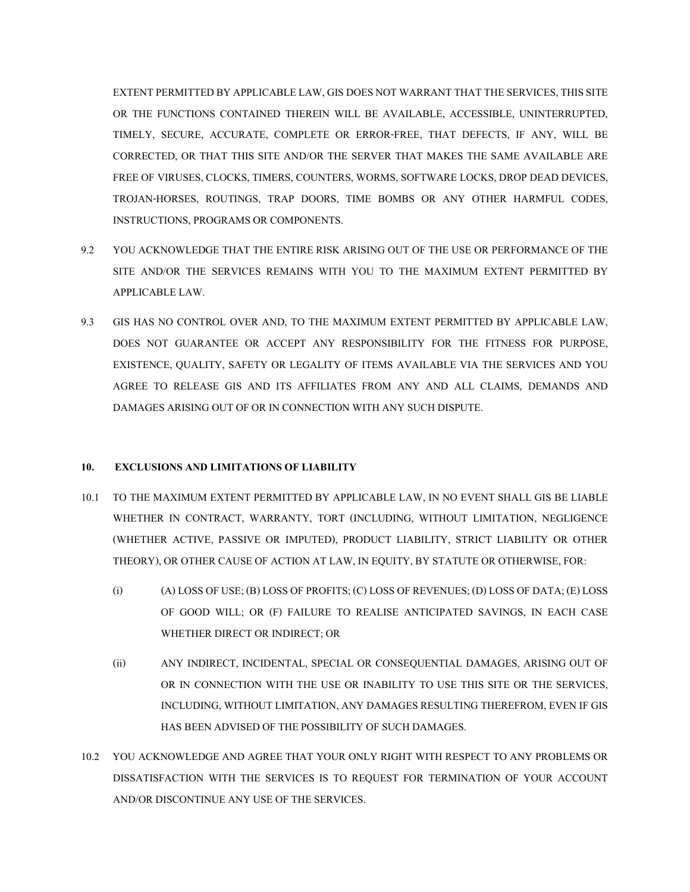EXTENT PERMITTED BY APPLICABLE LAW, GIS DOES NOT WARRANT THAT THE SERVICES, THIS SITE OR THE FUNCTIONS CONTAINED THEREIN WILL BE AVAILABLE, ACCESSIBLE, UNINTERRUPTED, TIMELY, SECURE, ACCURATE, COMPLETE OR ERROR-FREE, THAT DEFECTS, IF ANY, WILL BE CORRECTED, OR THAT THIS SITE AND/OR THE SERVER THAT MAKES THE SAME AVAILABLE ARE FREE OF VIRUSES, CLOCKS, TIMERS, COUNTERS, WORMS, SOFTWARE LOCKS, DROP DEAD DEVICES, TROJAN-HORSES, ROUTINGS, TRAP DOORS, TIME BOMBS OR ANY OTHER HARMFUL CODES, INSTRUCTIONS, PROGRAMS OR COMPONENTS.

- 9.2 YOU ACKNOWLEDGE THAT THE ENTIRE RISK ARISING OUT OF THE USE OR PERFORMANCE OF THE SITE AND/OR THE SERVICES REMAINS WITH YOU TO THE MAXIMUM EXTENT PERMITTED BY APPLICABLE LAW.
- 9.3 GIS HAS NO CONTROL OVER AND, TO THE MAXIMUM EXTENT PERMITTED BY APPLICABLE LAW, DOES NOT GUARANTEE OR ACCEPT ANY RESPONSIBILITY FOR THE FITNESS FOR PURPOSE, EXISTENCE, QUALITY, SAFETY OR LEGALITY OF ITEMS AVAILABLE VIA THE SERVICES AND YOU AGREE TO RELEASE GIS AND ITS AFFILIATES FROM ANY AND ALL CLAIMS, DEMANDS AND DAMAGES ARISING OUT OF OR IN CONNECTION WITH ANY SUCH DISPUTE.

# 10. EXCLUSIONS AND LIMITATIONS OF LIABILITY

- 10.1 TO THE MAXIMUM EXTENT PERMITTED BY APPLICABLE LAW, IN NO EVENT SHALL GIS BE LIABLE WHETHER IN CONTRACT, WARRANTY, TORT (INCLUDING, WITHOUT LIMITATION, NEGLIGENCE (WHETHER ACTIVE, PASSIVE OR IMPUTED), PRODUCT LIABILITY, STRICT LIABILITY OR OTHER THEORY), OR OTHER CAUSE OF ACTION AT LAW, IN EQUITY, BY STATUTE OR OTHERWISE, FOR:
	- (i) (A) LOSS OF USE; (B) LOSS OF PROFITS; (C) LOSS OF REVENUES; (D) LOSS OF DATA; (E) LOSS OF GOOD WILL; OR (F) FAILURE TO REALISE ANTICIPATED SAVINGS, IN EACH CASE WHETHER DIRECT OR INDIRECT; OR
	- (ii) ANY INDIRECT, INCIDENTAL, SPECIAL OR CONSEQUENTIAL DAMAGES, ARISING OUT OF OR IN CONNECTION WITH THE USE OR INABILITY TO USE THIS SITE OR THE SERVICES, INCLUDING, WITHOUT LIMITATION, ANY DAMAGES RESULTING THEREFROM, EVEN IF GIS HAS BEEN ADVISED OF THE POSSIBILITY OF SUCH DAMAGES.
- 10.2 YOU ACKNOWLEDGE AND AGREE THAT YOUR ONLY RIGHT WITH RESPECT TO ANY PROBLEMS OR DISSATISFACTION WITH THE SERVICES IS TO REQUEST FOR TERMINATION OF YOUR ACCOUNT AND/OR DISCONTINUE ANY USE OF THE SERVICES.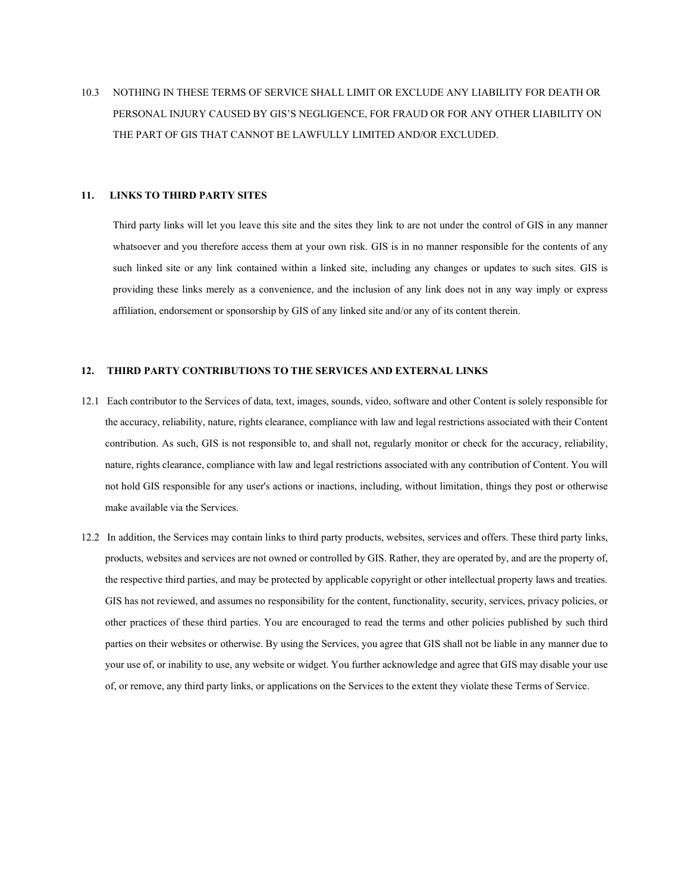10.3 NOTHING IN THESE TERMS OF SERVICE SHALL LIMIT OR EXCLUDE ANY LIABILITY FOR DEATH OR PERSONAL INJURY CAUSED BY GIS'S NEGLIGENCE, FOR FRAUD OR FOR ANY OTHER LIABILITY ON THE PART OF GIS THAT CANNOT BE LAWFULLY LIMITED AND/OR EXCLUDED.

### 11. LINKS TO THIRD PARTY SITES

Third party links will let you leave this site and the sites they link to are not under the control of GIS in any manner whatsoever and you therefore access them at your own risk. GIS is in no manner responsible for the contents of any such linked site or any link contained within a linked site, including any changes or updates to such sites. GIS is providing these links merely as a convenience, and the inclusion of any link does not in any way imply or express affiliation, endorsement or sponsorship by GIS of any linked site and/or any of its content therein.

## 12. THIRD PARTY CONTRIBUTIONS TO THE SERVICES AND EXTERNAL LINKS

- 12.1 Each contributor to the Services of data, text, images, sounds, video, software and other Content is solely responsible for the accuracy, reliability, nature, rights clearance, compliance with law and legal restrictions associated with their Content contribution. As such, GIS is not responsible to, and shall not, regularly monitor or check for the accuracy, reliability, nature, rights clearance, compliance with law and legal restrictions associated with any contribution of Content. You will not hold GIS responsible for any user's actions or inactions, including, without limitation, things they post or otherwise make available via the Services.
- 12.2 In addition, the Services may contain links to third party products, websites, services and offers. These third party links, products, websites and services are not owned or controlled by GIS. Rather, they are operated by, and are the property of, the respective third parties, and may be protected by applicable copyright or other intellectual property laws and treaties. GIS has not reviewed, and assumes no responsibility for the content, functionality, security, services, privacy policies, or other practices of these third parties. You are encouraged to read the terms and other policies published by such third parties on their websites or otherwise. By using the Services, you agree that GIS shall not be liable in any manner due to your use of, or inability to use, any website or widget. You further acknowledge and agree that GIS may disable your use of, or remove, any third party links, or applications on the Services to the extent they violate these Terms of Service.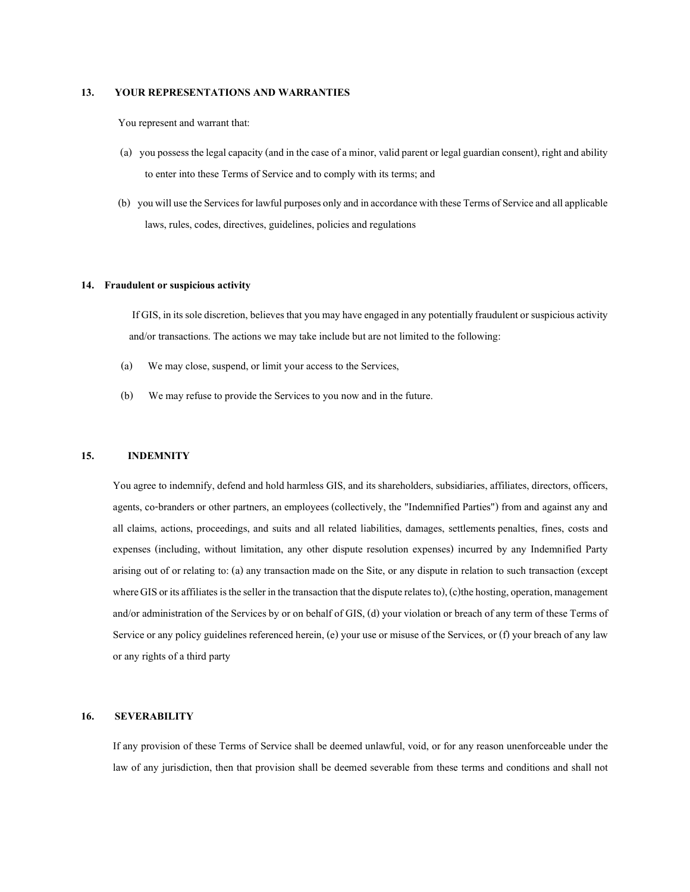### 13. YOUR REPRESENTATIONS AND WARRANTIES

You represent and warrant that:

- (a) you possess the legal capacity (and in the case of a minor, valid parent or legal guardian consent), right and ability to enter into these Terms of Service and to comply with its terms; and
- (b) you will use the Services for lawful purposes only and in accordance with these Terms of Service and all applicable laws, rules, codes, directives, guidelines, policies and regulations

### 14. Fraudulent or suspicious activity

 If GIS, in its sole discretion, believes that you may have engaged in any potentially fraudulent or suspicious activity and/or transactions. The actions we may take include but are not limited to the following:

- (a) We may close, suspend, or limit your access to the Services,
- (b) We may refuse to provide the Services to you now and in the future.

#### 15. INDEMNITY

You agree to indemnify, defend and hold harmless GIS, and its shareholders, subsidiaries, affiliates, directors, officers, agents, co-branders or other partners, an employees (collectively, the "Indemnified Parties") from and against any and all claims, actions, proceedings, and suits and all related liabilities, damages, settlements penalties, fines, costs and expenses (including, without limitation, any other dispute resolution expenses) incurred by any Indemnified Party arising out of or relating to: (a) any transaction made on the Site, or any dispute in relation to such transaction (except where GIS or its affiliates is the seller in the transaction that the dispute relates to), (c)the hosting, operation, management and/or administration of the Services by or on behalf of GIS, (d) your violation or breach of any term of these Terms of Service or any policy guidelines referenced herein, (e) your use or misuse of the Services, or (f) your breach of any law or any rights of a third party

#### 16. SEVERABILITY

If any provision of these Terms of Service shall be deemed unlawful, void, or for any reason unenforceable under the law of any jurisdiction, then that provision shall be deemed severable from these terms and conditions and shall not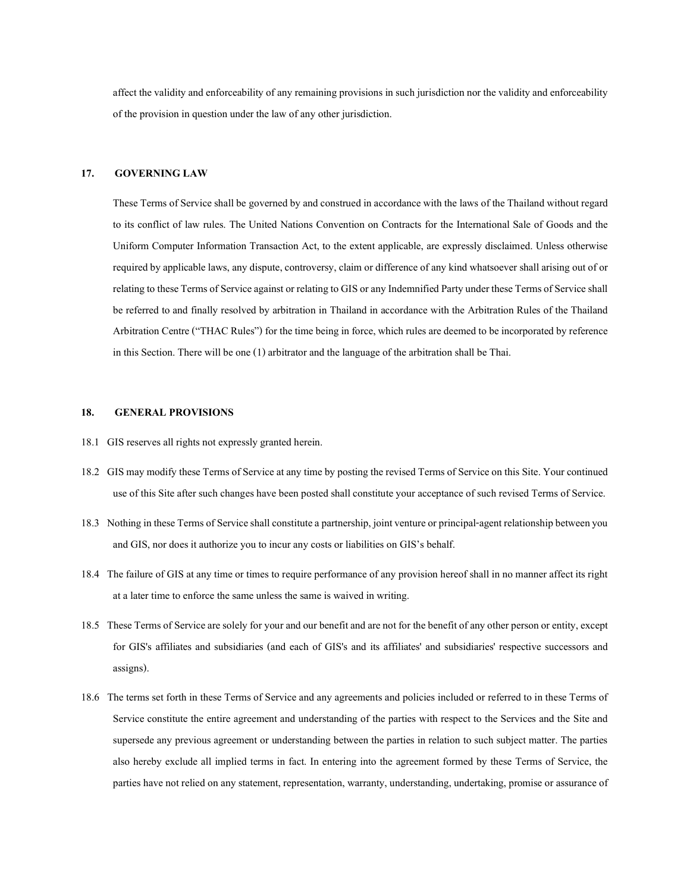affect the validity and enforceability of any remaining provisions in such jurisdiction nor the validity and enforceability of the provision in question under the law of any other jurisdiction.

## 17. GOVERNING LAW

These Terms of Service shall be governed by and construed in accordance with the laws of the Thailand without regard to its conflict of law rules. The United Nations Convention on Contracts for the International Sale of Goods and the Uniform Computer Information Transaction Act, to the extent applicable, are expressly disclaimed. Unless otherwise required by applicable laws, any dispute, controversy, claim or difference of any kind whatsoever shall arising out of or relating to these Terms of Service against or relating to GIS or any Indemnified Party under these Terms of Service shall be referred to and finally resolved by arbitration in Thailand in accordance with the Arbitration Rules of the Thailand Arbitration Centre ("THAC Rules") for the time being in force, which rules are deemed to be incorporated by reference in this Section. There will be one (1) arbitrator and the language of the arbitration shall be Thai.

## 18. GENERAL PROVISIONS

- 18.1 GIS reserves all rights not expressly granted herein.
- 18.2 GIS may modify these Terms of Service at any time by posting the revised Terms of Service on this Site. Your continued use of this Site after such changes have been posted shall constitute your acceptance of such revised Terms of Service.
- 18.3 Nothing in these Terms of Service shall constitute a partnership, joint venture or principal-agent relationship between you and GIS, nor does it authorize you to incur any costs or liabilities on GIS's behalf.
- 18.4 The failure of GIS at any time or times to require performance of any provision hereof shall in no manner affect its right at a later time to enforce the same unless the same is waived in writing.
- 18.5 These Terms of Service are solely for your and our benefit and are not for the benefit of any other person or entity, except for GIS's affiliates and subsidiaries (and each of GIS's and its affiliates' and subsidiaries' respective successors and assigns).
- 18.6 The terms set forth in these Terms of Service and any agreements and policies included or referred to in these Terms of Service constitute the entire agreement and understanding of the parties with respect to the Services and the Site and supersede any previous agreement or understanding between the parties in relation to such subject matter. The parties also hereby exclude all implied terms in fact. In entering into the agreement formed by these Terms of Service, the parties have not relied on any statement, representation, warranty, understanding, undertaking, promise or assurance of